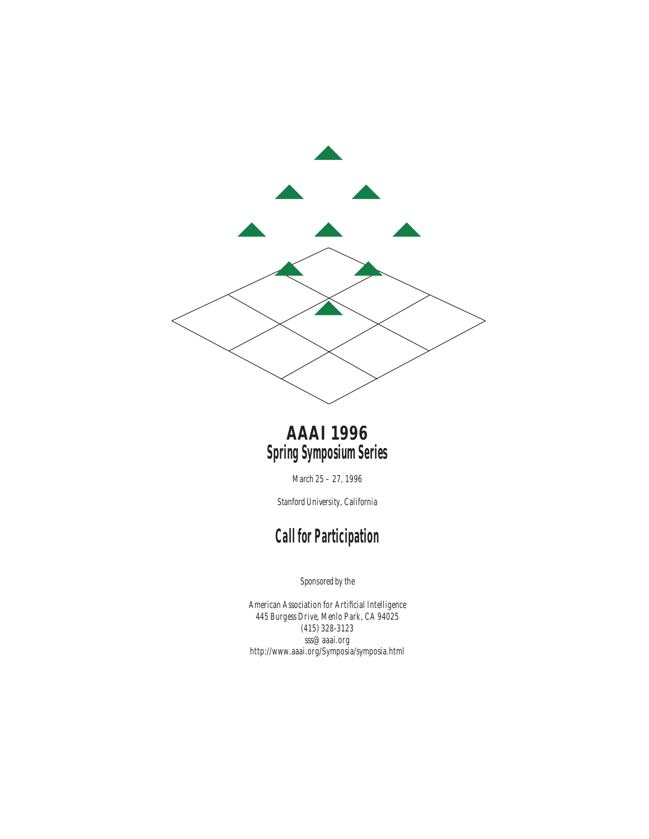

# **AAAI 1996 Spring Symposium Series**

*March 25 – 27, 1996*

*Stanford University, California*

# **Call for Participation**

*Sponsored by the*

American Association for Artificial Intelligence 445 Burgess Drive, Menlo Park, CA 94025 (415) 328-3123  $\mathsf{sss}\textcircled{a}$ aaai.org http://www.aaai.org/Symposia/symposia.html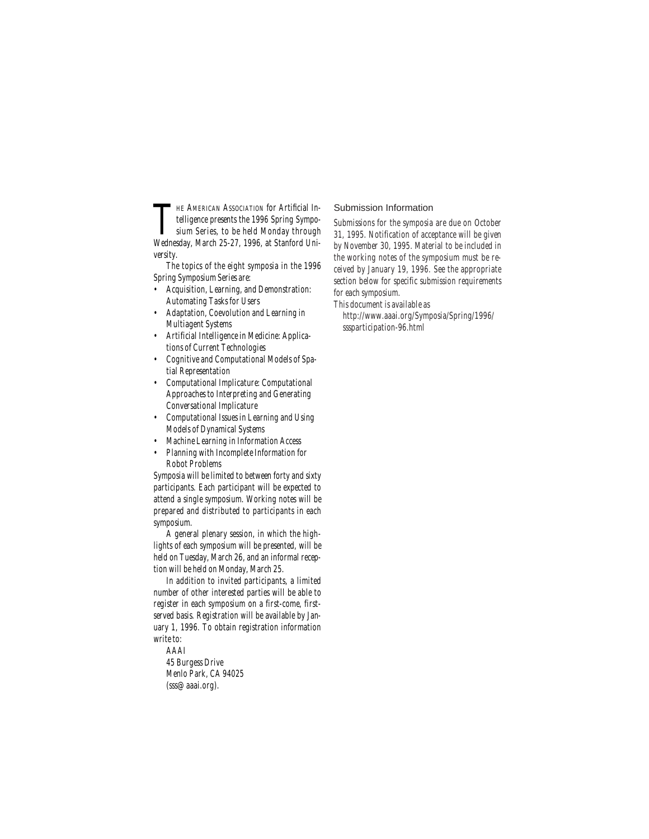THE AMERICAN ASSOCIATION for Artificial Intelligence presents the 1996 Spring Symposium Series, to be held Monday through Wednesday, March 25-27, 1996, at Stanford Uni-HE AMERICAN ASSOCIATION for Artificial Intelligence presents the 1996 Spring Symposium Series, to be held Monday through versity.

The topics of the eight symposia in the 1996 Spring Symposium Series are:

- Acquisition, Learning, and Demonstration: Automating Tasks for Users
- Adaptation, Coevolution and Learning in Multiagent Systems
- Artificial Intelligence in Medicine: Applications of Current Technologies
- Cognitive and Computational Models of Spatial Representation
- Computational Implicature: Computational Approaches to Interpreting and Generating Conversational Implicature
- Computational Issues in Learning and Using Models of Dynamical Systems
- Machine Learning in Information Access
- Planning with Incomplete Information for Robot Problems

Symposia will be limited to between forty and sixty participants. Each participant will be expected to attend a single symposium. Working notes will be prepared and distributed to participants in each symposium.

A general plenary session, in which the highlights of each symposium will be presented, will be held on Tuesday, March 26, and an informal reception will be held on Monday, March 25.

In addition to invited participants, a limited number of other interested parties will be able to register in each symposium on a first-come, firstserved basis. Registration will be available by January 1, 1996. To obtain registration information write to:

AAAI 45 Burgess Drive Menlo Park, CA 94025 (sss@aaai.org).

Submission Information

Submissions for the symposia are due on October 31, 1995. Notification of acceptance will be given by November 30, 1995. Material to be included in the working notes of the symposium must be received by January 19, 1996. See the appropriate section below for specific submission requirements for each symposium.

This document is available as

http://www.aaai.org/Symposia/Spring/1996/ sssparticipation-96.html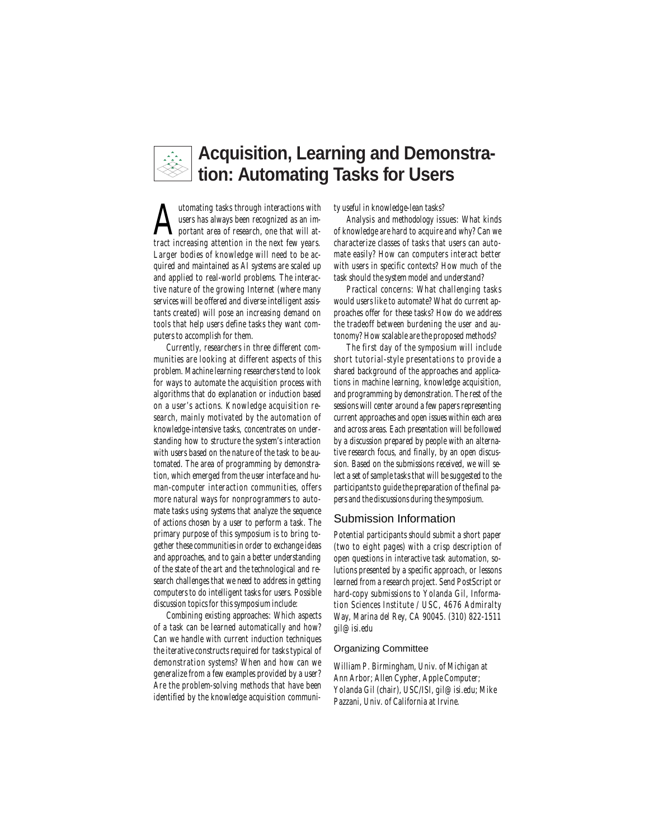

## **Acquisition, Learning and Demonstration: Automating Tasks for Users**

**A**utomating tasks through interactions with<br>
portant area of research, one that will at-<br>
tract increasing attention in the next few vears users has always been recognized as an imtract increasing attention in the next few years. Larger bodies of knowledge will need to be acquired and maintained as AI systems are scaled up and applied to real-world problems. The interactive nature of the growing Internet (where many services will be offered and diverse intelligent assistants created) will pose an increasing demand on tools that help users define tasks they want computers to accomplish for them.

Currently, researchers in three different communities are looking at different aspects of this problem. Machine learning researchers tend to look for ways to automate the acquisition process with algorithms that do explanation or induction based on a user's actions. Knowledge acquisition research, mainly motivated by the automation of knowledge-intensive tasks, concentrates on understanding how to structure the system's interaction with users based on the nature of the task to be automated. The area of programming by demonstration, which emerged from the user interface and human-computer interaction communities, offers more natural ways for nonprogrammers to automate tasks using systems that analyze the sequence of actions chosen by a user to perform a task. The primary purpose of this symposium is to bring together these communities in order to exchange ideas and approaches, and to gain a better understanding of the state of the art and the technological and research challenges that we need to address in getting computers to do intelligent tasks for users. Possible discussion topics for this symposium include:

*Combining existing approaches:* Which aspects of a task can be learned automatically and how? Can we handle with current induction techniques the iterative constructs required for tasks typical of demonstration systems? When and how can we generalize from a few examples provided by a user? Are the problem-solving methods that have been identified by the knowledge acquisition community useful in knowledge-lean tasks?

*Analysis and methodology issues:* What kinds of knowledge are hard to acquire and why? Can we characterize classes of tasks that users can automate easily? How can computers interact better with users in specific contexts? How much of the task should the system model and understand?

*Practical concerns:* What challenging tasks would users like to automate? What do current approaches offer for these tasks? How do we address the tradeoff between burdening the user and autonomy? How scalable are the proposed methods?

The first day of the symposium will include short tutorial-style presentations to provide a shared background of the approaches and applications in machine learning, knowledge acquisition, and programming by demonstration. The rest of the sessions will center around a few papers representing current approaches and open issues within each area and across areas. Each presentation will be followed by a discussion prepared by people with an alternative research focus, and finally, by an open discussion. Based on the submissions received, we will select a set of sample tasks that will be suggested to the participants to guide the preparation of the final papers and the discussions during the symposium.

### Submission Information

Potential participants should submit a short paper (two to eight pages) with a crisp description of open questions in interactive task automation, solutions presented by a specific approach, or lessons learned from a research project. Send PostScript or hard-copy submissions to Yolanda Gil, Information Sciences Institute / USC, 4676 Admiralty Way, Marina del Rey, CA 90045. (310) 822-1511 gil@isi.edu

#### Organizing Committee

William P. Birmingham, Univ. of Michigan at Ann Arbor; Allen Cypher, Apple Computer; Yolanda Gil (chair), USC/ISI, gil@isi.edu; Mike Pazzani, Univ. of California at Irvine.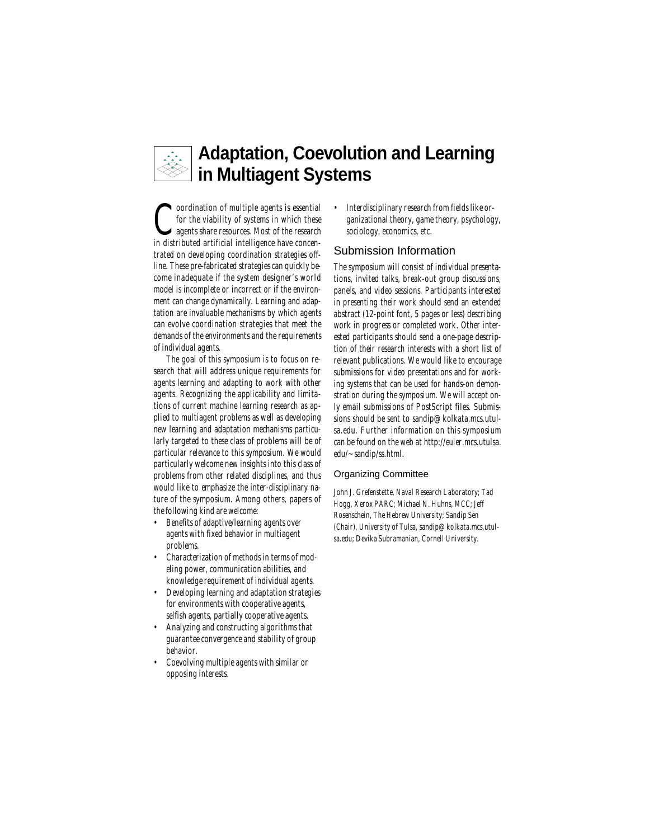

## **Adaptation, Coevolution and Learning in Multiagent Systems**

**C** cordination of multiple agents is essential<br>for the viability of systems in which these<br>agents share resources. Most of the research<br>in distributed artificial intelligence have concen-**V**oordination of multiple agents is essential for the viability of systems in which these *A* agents share resources. Most of the research trated on developing coordination strategies offline. These pre-fabricated strategies can quickly become inadequate if the system designer's world model is incomplete or incorrect or if the environment can change dynamically. Learning and adaptation are invaluable mechanisms by which agents can evolve coordination strategies that meet the demands of the environments and the requirements of individual agents.

The goal of this symposium is to focus on research that will address unique requirements for agents learning and adapting to work with other agents. Recognizing the applicability and limitations of current machine learning research as applied to multiagent problems as well as developing new learning and adaptation mechanisms particularly targeted to these class of problems will be of particular relevance to this symposium. We would particularly welcome new insights into this class of problems from other related disciplines, and thus would like to emphasize the inter-disciplinary nature of the symposium. Among others, papers of the following kind are welcome:

- Benefits of adaptive/learning agents over agents with fixed behavior in multiagent problems.
- Characterization of methods in terms of modeling power, communication abilities, and knowledge requirement of individual agents.
- Developing learning and adaptation strategies for environments with cooperative agents, selfish agents, partially cooperative agents.
- Analyzing and constructing algorithms that guarantee convergence and stability of group behavior.
- Coevolving multiple agents with similar or opposing interests.

• Interdisciplinary research from fields like organizational theory, game theory, psychology, sociology, economics, etc.

### Submission Information

The symposium will consist of individual presentations, invited talks, break-out group discussions, panels, and video sessions. Participants interested in presenting their work should send an extended abstract (12-point font, 5 pages or less) describing work in progress or completed work. Other interested participants should send a one-page description of their research interests with a short list of relevant publications. We would like to encourage submissions for video presentations and for working systems that can be used for hands-on demonstration during the symposium. We will accept only email submissions of PostScript files. Submissions should be sent to sandip@kolkata.mcs.utulsa.edu. Further information on this symposium can be found on the web at http://euler.mcs.utulsa. edu/~sandip/ss.html.

#### Organizing Committee

John J. Grefenstette, Naval Research Laboratory; Tad Hogg, Xerox PARC; Michael N. Huhns, MCC; Jeff Rosenschein, The Hebrew University; Sandip Sen (Chair), University of Tulsa, sandip@kolkata.mcs.utulsa.edu; Devika Subramanian, Cornell University.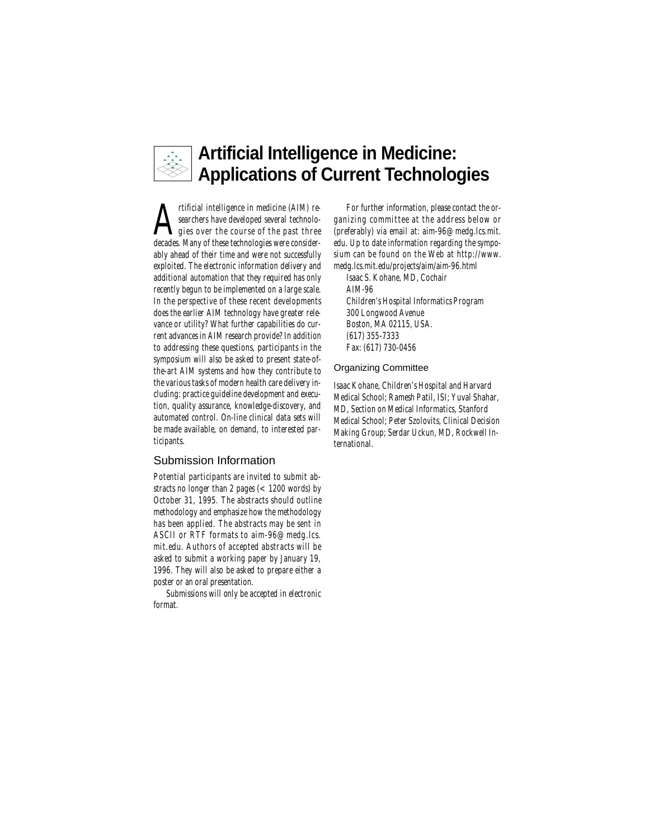

rtificial intelligence in medicine (AIM) researchers have developed several technologies over the course of the past three decades. Many of these technologies were considerably ahead of their time and were not successfully exploited. The electronic information delivery and additional automation that they required has only recently begun to be implemented on a large scale. In the perspective of these recent developments does the earlier AIM technology have greater relevance or utility? What further capabilities do current advances in AIM research provide? In addition to addressing these questions, participants in the symposium will also be asked to present state-ofthe-art AIM systems and how they contribute to the various tasks of modern health care delivery including: practice guideline development and execution, quality assurance, knowledge-discovery, and automated control. On-line clinical data sets will be made available, on demand, to interested participants.

#### Submission Information

Potential participants are invited to submit abstracts no longer than 2 pages (< 1200 words) by October 31, 1995. The abstracts should outline methodology and emphasize how the methodology has been applied. The abstracts may be sent in ASCII or RTF formats to aim-96@medg.lcs. mit.edu. Authors of accepted abstracts will be asked to submit a working paper by January 19, 1996. They will also be asked to prepare either a poster or an oral presentation.

Submissions will *only* be accepted in electronic format.

For further information, please contact the organizing committee at the address below or (preferably) via email at: aim-96@medg.lcs.mit. edu. Up to date information regarding the symposium can be found on the Web at http://www. medg.lcs.mit.edu/projects/aim/aim-96.html

Isaac S. Kohane, MD, Cochair AIM-96 Children's Hospital Informatics Program 300 Longwood Avenue Boston, MA 02115, USA. (617) 355-7333 Fax: (617) 730-0456

Organizing Committee

Isaac Kohane, Children's Hospital and Harvard Medical School; Ramesh Patil, ISI; Yuval Shahar, MD, Section on Medical Informatics, Stanford Medical School; Peter Szolovits, Clinical Decision Making Group; Serdar Uckun, MD, Rockwell International.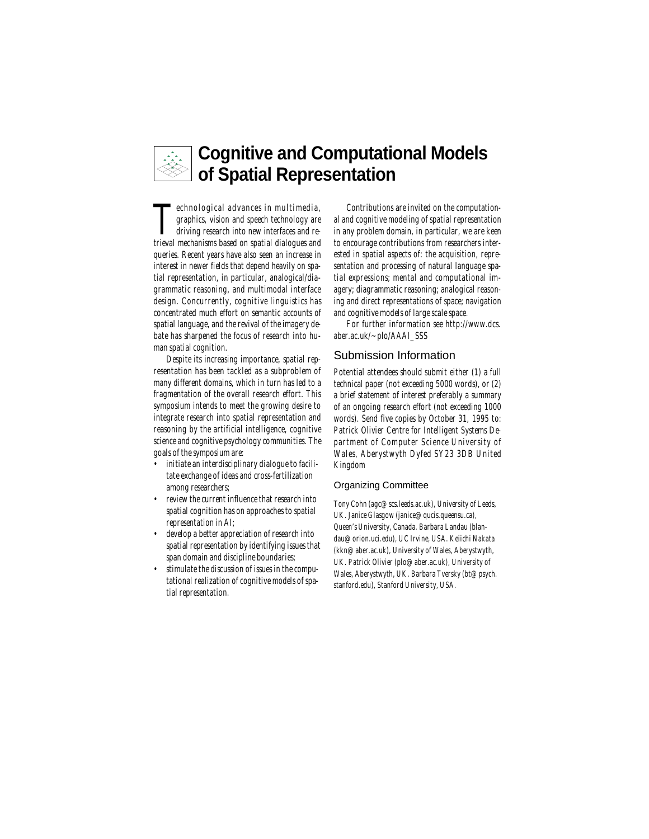

## **Cognitive and Computational Models of Spatial Representation**

**THE SERVING CONCROCERT SERVISTED SERVISTED SERVISTED SERVISTED SERVISTED SERVISTED SERVISTED SERVISTED SERVISTED SERVISTED SERVISTED SERVISTED SERVISTED SERVISTED SERVISTED SERVISTED SERVISTED SERVISTED SERVISTED SERVISTE** echnological advances in multimedia, graphics, vision and speech technology are driving research into new interfaces and requeries. Recent years have also seen an increase in interest in newer fields that depend heavily on spatial representation, in particular, analogical/diagrammatic reasoning, and multimodal interface design. Concurrently, cognitive linguistics has concentrated much effort on semantic accounts of spatial language, and the revival of the imagery debate has sharpened the focus of research into human spatial cognition.

Despite its increasing importance, spatial representation has been tackled as a subproblem of many different domains, which in turn has led to a fragmentation of the overall research effort. This symposium intends to meet the growing desire to integrate research into spatial representation and reasoning by the artificial intelligence, cognitive science and cognitive psychology communities. The goals of the symposium are:

- initiate an interdisciplinary dialogue to facilitate exchange of ideas and cross-fertilization among researchers;
- review the current influence that research into spatial cognition has on approaches to spatial representation in AI;
- develop a better appreciation of research into spatial representation by identifying issues that span domain and discipline boundaries;
- stimulate the discussion of issues in the computational realization of cognitive models of spatial representation.

Contributions are invited on the computational and cognitive modeling of spatial representation in any problem domain, in particular, we are keen to encourage contributions from researchers interested in spatial aspects of: the acquisition, representation and processing of natural language spatial expressions; mental and computational imagery; diagrammatic reasoning; analogical reasoning and direct representations of space; navigation and cognitive models of large scale space.

For further information see http://www.dcs. aber.ac.uk/~plo/AAAI\_SSS

### Submission Information

Potential attendees should submit either (1) a full technical paper (not exceeding 5000 words), or (2) a brief statement of interest preferably a summary of an ongoing research effort (not exceeding 1000 words). Send five copies by October 31, 1995 to: Patrick Olivier Centre for Intelligent Systems Department of Computer Science University of Wales, Aberystwyth Dyfed SY23 3DB United Kingdom

#### Organizing Committee

Tony Cohn (agc@scs.leeds.ac.uk), University of Leeds, UK. Janice Glasgow (janice@qucis.queensu.ca), Queen's University, Canada. Barbara Landau (blandau@orion.uci.edu), UC Irvine, USA. Keiichi Nakata (kkn@aber.ac.uk), University of Wales, Aberystwyth, UK. Patrick Olivier (plo@aber.ac.uk), University of Wales, Aberystwyth, UK. Barbara Tversky (bt@psych. stanford.edu), Stanford University, USA.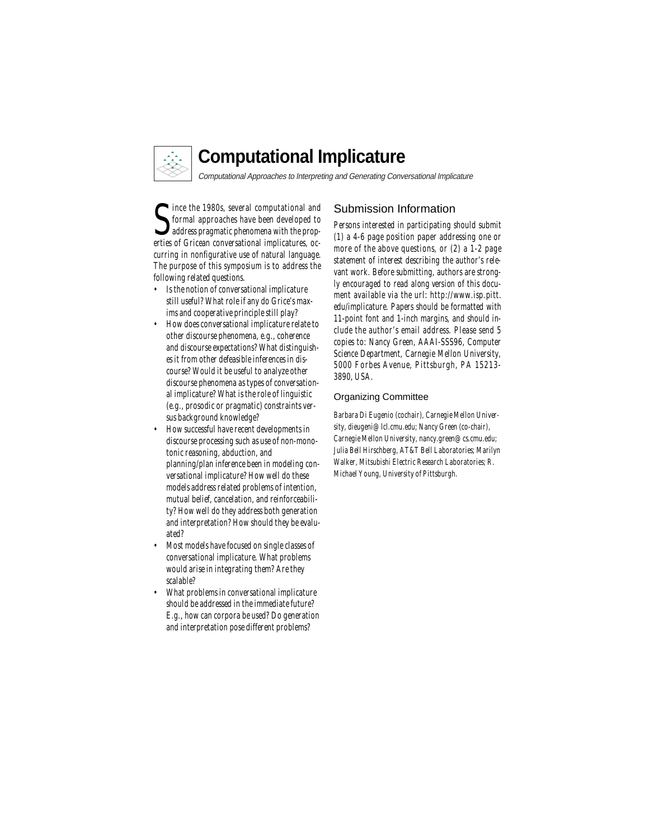

## **Computational Implicature**

Computational Approaches to Interpreting and Generating Conversational Implicature

Since the 1980s, several computational and<br>formal approaches have been developed to<br>address pragmatic phenomena with the prop-<br>erties of Gricean conversational implicatures oc-Ince the 1980s, several computational and formal approaches have been developed to erties of Gricean conversational implicatures, occurring in nonfigurative use of natural language. The purpose of this symposium is to address the following related questions.

- Is the notion of conversational implicature still useful? What role if any do Grice's maxims and cooperative principle still play?
- How does conversational implicature relate to other discourse phenomena, e.g., coherence and discourse expectations? What distinguishes it from other defeasible inferences in discourse? Would it be useful to analyze other discourse phenomena as types of conversational implicature? What is the role of linguistic (e.g., prosodic or pragmatic) constraints versus background knowledge?
- How successful have recent developments in discourse processing such as use of non-monotonic reasoning, abduction, and planning/plan inference been in modeling conversational implicature? How well do these models address related problems of intention, mutual belief, cancelation, and reinforceability? How well do they address both generation and interpretation? How should they be evaluated?
- Most models have focused on single classes of conversational implicature. What problems would arise in integrating them? Are they scalable?
- What problems in conversational implicature should be addressed in the immediate future? E.g., how can corpora be used? Do generation and interpretation pose different problems?

### Submission Information

Persons interested in participating should submit (1) a 4-6 page position paper addressing one or more of the above questions, or (2) a 1-2 page statement of interest describing the author's relevant work. Before submitting, authors are strongly encouraged to read a*long version* of this document available via the url: http://www.isp.pitt. edu/implicature. Papers should be formatted with 11-point font and 1-inch margins, and should include the author's email address. Please send 5 copies to: Nancy Green, AAAI-SSS96, Computer Science Department, Carnegie Mellon University, 5000 Forbes Avenue, Pittsburgh, PA 15213- 3890, USA.

#### Organizing Committee

Barbara Di Eugenio (cochair), Carnegie Mellon University, dieugeni@lcl.cmu.edu; Nancy Green (co-chair), Carnegie Mellon University, nancy.green@cs.cmu.edu; Julia Bell Hirschberg, AT&T Bell Laboratories; Marilyn Walker, Mitsubishi Electric Research Laboratories; R. Michael Young, University of Pittsburgh.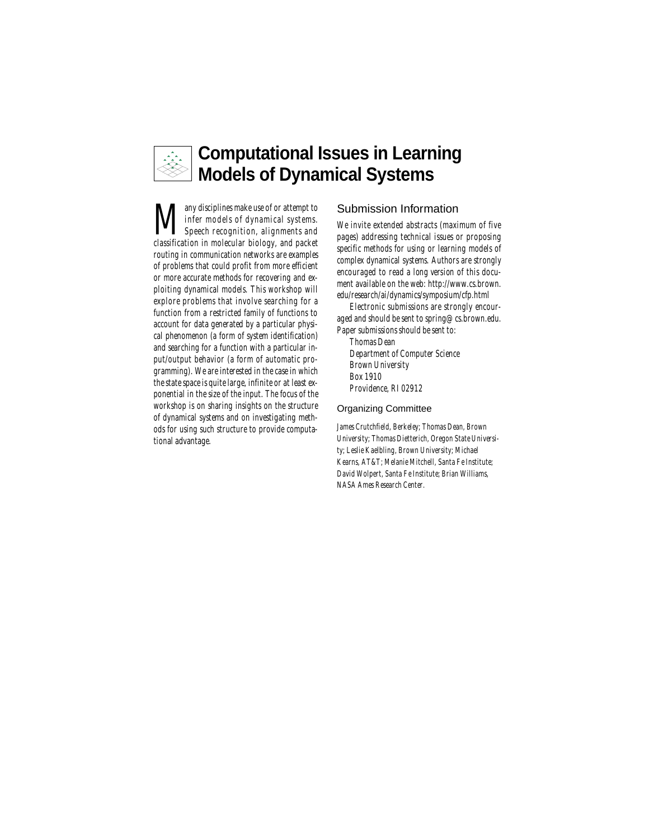

## **Computational Issues in Learning Models of Dynamical Systems**

**M** any disciplines make use of or attempt to<br>speech recognition, alignments and<br>classification in molecular biology, and packet infer models of dynamical systems. Speech recognition, alignments and classification in molecular biology, and packet routing in communication networks are examples of problems that could profit from more efficient or more accurate methods for recovering and exploiting dynamical models. This workshop will explore problems that involve searching for a function from a restricted family of functions to account for data generated by a particular physical phenomenon (a form of system identification) and searching for a function with a particular input/output behavior (a form of automatic programming). We are interested in the case in which the state space is quite large, infinite or at least exponential in the size of the input. The focus of the workshop is on sharing insights on the structure of dynamical systems and on investigating methods for using such structure to provide computational advantage.

### Submission Information

We invite extended abstracts (maximum of five pages) addressing technical issues or proposing specific methods for using or learning models of complex dynamical systems. Authors are strongly encouraged to read a *long version* of this document available on the web: http://www.cs.brown. edu/research/ai/dynamics/symposium/cfp.html

Electronic submissions are strongly encouraged and should be sent to spring@cs.brown.edu. Paper submissions should be sent to:

Thomas Dean Department of Computer Science Brown University Box 1910 Providence, RI 02912

Organizing Committee

James Crutchfield, Berkeley; Thomas Dean, Brown University; Thomas Dietterich, Oregon State University; Leslie Kaelbling, Brown University; Michael Kearns, AT&T; Melanie Mitchell, Santa Fe Institute; David Wolpert, Santa Fe Institute; Brian Williams, NASA Ames Research Center.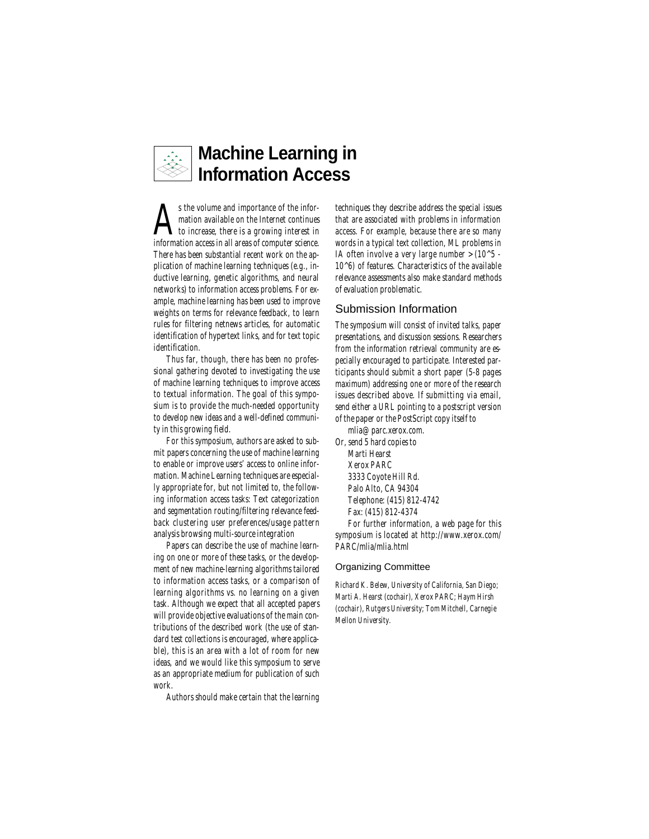

s the volume and importance of the information available on the Internet continues<br>to increase, there is a growing interest in<br>information access in all areas of computer science mation available on the Internet continues information access in all areas of computer science. There has been substantial recent work on the application of machine learning techniques (e.g., inductive learning, genetic algorithms, and neural networks) to information access problems. For example, machine learning has been used to improve weights on terms for relevance feedback, to learn rules for filtering netnews articles, for automatic identification of hypertext links, and for text topic identification.

Thus far, though, there has been no professional gathering devoted to investigating the use of machine learning techniques to improve access to textual information. The goal of this symposium is to provide the much-needed opportunity to develop new ideas and a well-defined community in this growing field.

For this symposium, authors are asked to submit papers concerning the use of machine learning to enable or improve users' access to online information. Machine Learning techniques are especially appropriate for, but not limited to, the following information access tasks: Text categorization and segmentation routing/filtering relevance feedback clustering user preferences/usage pattern analysis browsing multi-source integration

Papers can describe the use of machine learning on one or more of these tasks, or the development of new machine-learning algorithms tailored to information access tasks, or a comparison of learning algorithms vs. no learning on a given task. Although we expect that all accepted papers will provide objective evaluations of the main contributions of the described work (the use of standard test collections is encouraged, where applicable), this is an area with a lot of room for new ideas, and we would like this symposium to serve as an appropriate medium for publication of such work.

Authors should make certain that the learning

techniques they describe address the special issues that are associated with problems in information access. For example, because there are so many words in a typical text collection, ML problems in IA often involve a very large number  $>$ (10^5 - $10^6$ ) of features. Characteristics of the available relevance assessments also make standard methods of evaluation problematic.

#### Submission Information

The symposium will consist of invited talks, paper presentations, and discussion sessions. Researchers from the information retrieval community are especially encouraged to participate. Interested participants should submit a short paper (5-8 pages maximum) addressing one or more of the research issues described above. If submitting via email, send either a URL pointing to a postscript version of the paper or the PostScript copy itself to

mlia@parc.xerox.com.

Or, send 5 hard copies to Marti Hearst Xerox PARC 3333 Coyote Hill Rd. Palo Alto, CA 94304 Telephone: (415) 812-4742 Fax: (415) 812-4374 For further information, a web page for this symposium is located at http://www.xerox.com/ PARC/mlia/mlia.html

Organizing Committee

Richard K. Belew, University of California, San Diego; Marti A. Hearst (cochair), Xerox PARC; Haym Hirsh (cochair), Rutgers University; Tom Mitchell, Carnegie Mellon University.